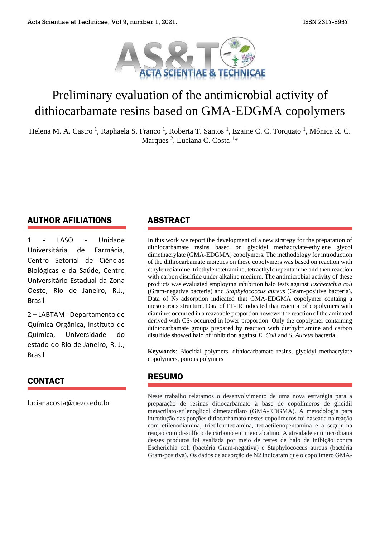

# Preliminary evaluation of the antimicrobial activity of dithiocarbamate resins based on GMA-EDGMA copolymers

Helena M. A. Castro<sup>1</sup>, Raphaela S. Franco<sup>1</sup>, Roberta T. Santos<sup>1</sup>, Ezaine C. C. Torquato<sup>1</sup>, Mônica R. C. Marques<sup>2</sup>, Luciana C. Costa<sup>1\*</sup>

### AUTHOR AFILIATIONS

1 - LASO - Unidade Universitária de Farmácia, Centro Setorial de Ciências Biológicas e da Saúde, Centro Universitário Estadual da Zona Oeste, Rio de Janeiro, R.J., Brasil

2 – LABTAM - Departamento de Química Orgânica, Instituto de Química, Universidade do estado do Rio de Janeiro, R. J., Brasil

#### CONTACT

lucianacosta@uezo.edu.br

#### ABSTRACT

In this work we report the development of a new strategy for the preparation of dithiocarbamate resins based on glycidyl methacrylate-ethylene glycol dimethacrylate (GMA-EDGMA) copolymers. The methodology for introduction of the dithiocarbamate moieties on these copolymers was based on reaction with ethylenediamine, triethylenetetramine, tetraethylenepentamine and then reaction with carbon disulfide under alkaline medium. The antimicrobial activity of these products was evaluated employing inhibition halo tests against *Escherichia coli* (Gram-negative bacteria) and *Staphylococcus aureus* (Gram-positive bacteria). Data of  $N_2$  adsorption indicated that GMA-EDGMA copolymer containg a mesoporous structure. Data of FT-IR indicated that reaction of copolymers with diamines occurred in a reazoable proportion however the reaction of the aminated derived with  $CS<sub>2</sub>$  occurred in lower proportion. Only the copolymer containing dithiocarbamate groups prepared by reaction with diethyltriamine and carbon disulfide showed halo of inhibition against *E. Coli* and *S. Aureus* bacteria.

**Keywords**: Biocidal polymers, dithiocarbamate resins, glycidyl methacrylate copolymers, porous polymers

#### RESUMO

Neste trabalho relatamos o desenvolvimento de uma nova estratégia para a preparação de resinas ditiocarbamato à base de copolímeros de glicidil metacrilato-etilenoglicol dimetacrilato (GMA-EDGMA). A metodologia para introdução das porções ditiocarbamato nestes copolímeros foi baseada na reação com etilenodiamina, trietilenotetramina, tetraetilenopentamina e a seguir na reação com dissulfeto de carbono em meio alcalino. A atividade antimicrobiana desses produtos foi avaliada por meio de testes de halo de inibição contra Escherichia coli (bactéria Gram-negativa) e Staphylococcus aureus (bactéria Gram-positiva). Os dados de adsorção de N2 indicaram que o copolímero GMA-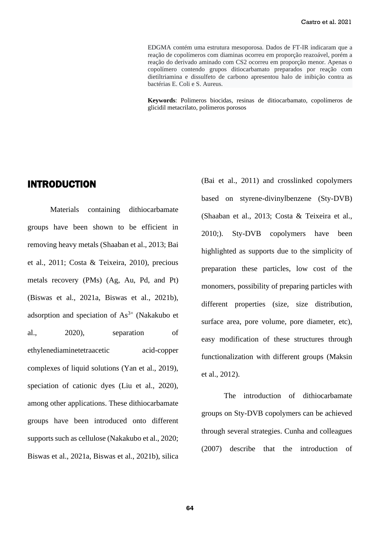EDGMA contém uma estrutura mesoporosa. Dados de FT-IR indicaram que a reação de copolímeros com diaminas ocorreu em proporção reazoável, porém a reação do derivado aminado com CS2 ocorreu em proporção menor. Apenas o copolímero contendo grupos ditiocarbamato preparados por reação com dietiltriamina e dissulfeto de carbono apresentou halo de inibição contra as bactérias E. Coli e S. Aureus.

**Keywords**: Polimeros biocidas, resinas de ditiocarbamato, copolímeros de glicidil metacrilato, polímeros porosos

#### INTRODUCTION

Materials containing dithiocarbamate groups have been shown to be efficient in removing heavy metals (Shaaban et al., 2013; Bai et al., 2011; Costa & Teixeira, 2010), precious metals recovery (PMs) (Ag, Au, Pd, and Pt) (Biswas et al., 2021a, Biswas et al., 2021b), adsorption and speciation of  $As<sup>3+</sup>$  (Nakakubo et al., 2020), separation of ethylenediaminetetraacetic acid-copper complexes of liquid solutions (Yan et al., 2019), speciation of cationic dyes (Liu et al., 2020), among other applications. These dithiocarbamate groups have been introduced onto different supports such as cellulose (Nakakubo et al., 2020; Biswas et al., 2021a, Biswas et al., 2021b), silica (Bai et al., 2011) and crosslinked copolymers based on styrene-divinylbenzene (Sty-DVB) (Shaaban et al., 2013; Costa & Teixeira et al., 2010;). Sty-DVB copolymers have been highlighted as supports due to the simplicity of preparation these particles, low cost of the monomers, possibility of preparing particles with different properties (size, size distribution, surface area, pore volume, pore diameter, etc), easy modification of these structures through functionalization with different groups (Maksin et al., 2012).

The introduction of dithiocarbamate groups on Sty-DVB copolymers can be achieved through several strategies. Cunha and colleagues (2007) describe that the introduction of

64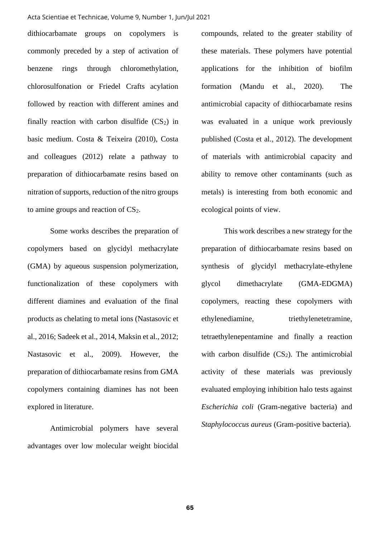#### Acta Scientiae et Technicae, Volume 9, Number 1, Jun/Jul 2021

dithiocarbamate groups on copolymers is commonly preceded by a step of activation of benzene rings through chloromethylation, chlorosulfonation or Friedel Crafts acylation followed by reaction with different amines and finally reaction with carbon disulfide  $(CS_2)$  in basic medium. Costa & Teixeira (2010), Costa and colleagues (2012) relate a pathway to preparation of dithiocarbamate resins based on nitration of supports, reduction of the nitro groups to amine groups and reaction of  $CS<sub>2</sub>$ .

Some works describes the preparation of copolymers based on glycidyl methacrylate (GMA) by aqueous suspension polymerization, functionalization of these copolymers with different diamines and evaluation of the final products as chelating to metal ions (Nastasovic et al., 2016; Sadeek et al., 2014, Maksin et al., 2012; Nastasovic et al., 2009). However, the preparation of dithiocarbamate resins from GMA copolymers containing diamines has not been explored in literature.

Antimicrobial polymers have several advantages over low molecular weight biocidal compounds, related to the greater stability of these materials. These polymers have potential applications for the inhibition of biofilm formation (Mandu et al., 2020). The antimicrobial capacity of dithiocarbamate resins was evaluated in a unique work previously published (Costa et al., 2012). The development of materials with antimicrobial capacity and ability to remove other contaminants (such as metals) is interesting from both economic and ecological points of view.

This work describes a new strategy for the preparation of dithiocarbamate resins based on synthesis of glycidyl methacrylate-ethylene glycol dimethacrylate (GMA-EDGMA) copolymers, reacting these copolymers with ethylenediamine, triethylenetetramine, tetraethylenepentamine and finally a reaction with carbon disulfide  $(CS_2)$ . The antimicrobial activity of these materials was previously evaluated employing inhibition halo tests against *Escherichia coli* (Gram-negative bacteria) and *Staphylococcus aureus* (Gram-positive bacteria).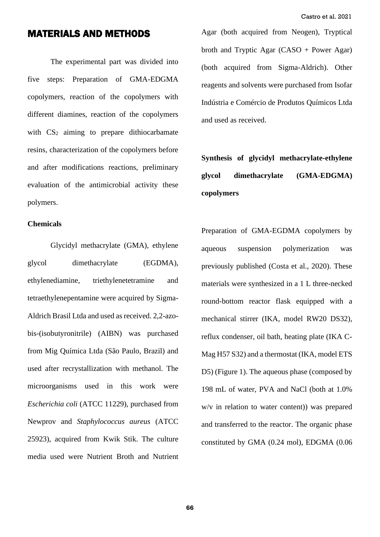## MATERIALS AND METHODS

The experimental part was divided into five steps: Preparation of GMA-EDGMA copolymers, reaction of the copolymers with different diamines, reaction of the copolymers with  $CS_2$  aiming to prepare dithiocarbamate resins, characterization of the copolymers before and after modifications reactions, preliminary evaluation of the antimicrobial activity these polymers.

#### **Chemicals**

Glycidyl methacrylate (GMA), ethylene glycol dimethacrylate (EGDMA), ethylenediamine, triethylenetetramine and tetraethylenepentamine were acquired by Sigma-Aldrich Brasil Ltda and used as received. 2,2-azobis-(isobutyronitrile) (AIBN) was purchased from Mig Química Ltda (São Paulo, Brazil) and used after recrystallization with methanol. The microorganisms used in this work were *Escherichia coli* (ATCC 11229), purchased from Newprov and *Staphylococcus aureus* (ATCC 25923), acquired from Kwik Stik. The culture media used were Nutrient Broth and Nutrient Agar (both acquired from Neogen), Tryptical broth and Tryptic Agar (CASO + Power Agar) (both acquired from Sigma-Aldrich). Other reagents and solvents were purchased from Isofar Indústria e Comércio de Produtos Químicos Ltda and used as received.

## **Synthesis of glycidyl methacrylate-ethylene glycol dimethacrylate (GMA-EDGMA) copolymers**

Preparation of GMA-EGDMA copolymers by aqueous suspension polymerization was previously published (Costa et al., 2020). These materials were synthesized in a 1 L three-necked round-bottom reactor flask equipped with a mechanical stirrer (IKA, model RW20 DS32), reflux condenser, oil bath, heating plate (IKA C-Mag H57 S32) and a thermostat (IKA, model ETS D5) (Figure 1). The aqueous phase (composed by 198 mL of water, PVA and NaCl (both at 1.0% w/v in relation to water content)) was prepared and transferred to the reactor. The organic phase constituted by GMA (0.24 mol), EDGMA (0.06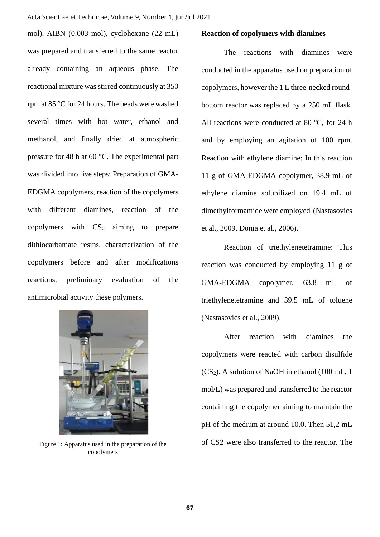#### Acta Scientiae et Technicae, Volume 9, Number 1, Jun/Jul 2021

mol), AIBN (0.003 mol), cyclohexane (22 mL) was prepared and transferred to the same reactor already containing an aqueous phase. The reactional mixture was stirred continuously at 350 rpm at 85 °C for 24 hours. The beads were washed several times with hot water, ethanol and methanol, and finally dried at atmospheric pressure for 48 h at 60 °C. The experimental part was divided into five steps: Preparation of GMA-EDGMA copolymers, reaction of the copolymers with different diamines, reaction of the copolymers with  $CS<sub>2</sub>$  aiming to prepare dithiocarbamate resins, characterization of the copolymers before and after modifications reactions, preliminary evaluation of the antimicrobial activity these polymers.



Figure 1: Apparatus used in the preparation of the copolymers

#### **Reaction of copolymers with diamines**

The reactions with diamines were conducted in the apparatus used on preparation of copolymers, however the 1 L three-necked roundbottom reactor was replaced by a 250 mL flask. All reactions were conducted at 80 ºC, for 24 h and by employing an agitation of 100 rpm. Reaction with ethylene diamine: In this reaction 11 g of GMA-EDGMA copolymer, 38.9 mL of ethylene diamine solubilized on 19.4 mL of dimethylformamide were employed (Nastasovics et al., 2009, Donia et al., 2006).

Reaction of triethylenetetramine: This reaction was conducted by employing 11 g of GMA-EDGMA copolymer, 63.8 mL of triethylenetetramine and 39.5 mL of toluene (Nastasovics et al., 2009).

After reaction with diamines the copolymers were reacted with carbon disulfide  $(CS_2)$ . A solution of NaOH in ethanol (100 mL, 1) mol/L) was prepared and transferred to the reactor containing the copolymer aiming to maintain the pH of the medium at around 10.0. Then 51,2 mL of CS2 were also transferred to the reactor. The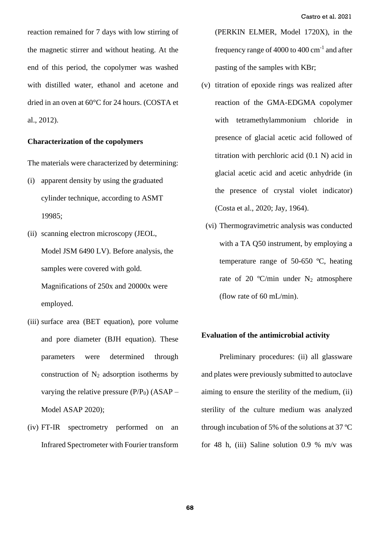reaction remained for 7 days with low stirring of the magnetic stirrer and without heating. At the end of this period, the copolymer was washed with distilled water, ethanol and acetone and dried in an oven at 60°C for 24 hours. (COSTA et al., 2012).

#### **Characterization of the copolymers**

The materials were characterized by determining:

- (i) apparent density by using the graduated cylinder technique, according to ASMT 19985;
- (ii) scanning electron microscopy (JEOL, Model JSM 6490 LV). Before analysis, the samples were covered with gold. Magnifications of 250x and 20000x were employed.
- (iii) surface area (BET equation), pore volume and pore diameter (BJH equation). These parameters were determined through construction of  $N_2$  adsorption isotherms by varying the relative pressure  $(P/P_0)$  (ASAP – Model ASAP 2020);
- (iv) FT-IR spectrometry performed on an Infrared Spectrometer with Fourier transform

(PERKIN ELMER, Model 1720X), in the frequency range of  $4000$  to  $400$  cm<sup>-1</sup> and after pasting of the samples with KBr;

- (v) titration of epoxide rings was realized after reaction of the GMA-EDGMA copolymer with tetramethylammonium chloride in presence of glacial acetic acid followed of titration with perchloric acid (0.1 N) acid in glacial acetic acid and acetic anhydride (in the presence of crystal violet indicator) (Costa et al., 2020; Jay, 1964).
	- (vi) Thermogravimetric analysis was conducted with a TA 050 instrument, by employing a temperature range of 50-650 ºC, heating rate of 20 °C/min under  $N_2$  atmosphere (flow rate of 60 mL/min).

#### **Evaluation of the antimicrobial activity**

Preliminary procedures: (ii) all glassware and plates were previously submitted to autoclave aiming to ensure the sterility of the medium, (ii) sterility of the culture medium was analyzed through incubation of 5% of the solutions at 37 ºC for 48 h, (iii) Saline solution 0.9 % m/v was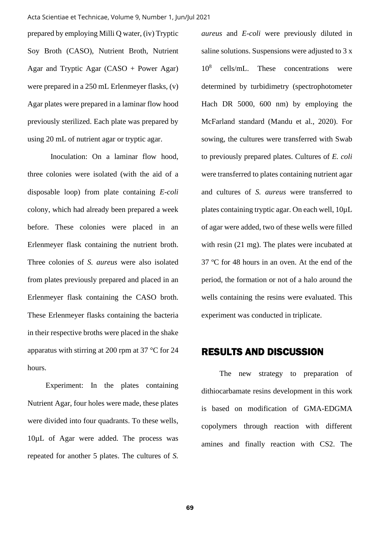prepared by employing Milli Q water, (iv) Tryptic Soy Broth (CASO), Nutrient Broth, Nutrient Agar and Tryptic Agar (CASO + Power Agar) were prepared in a 250 mL Erlenmeyer flasks, (v) Agar plates were prepared in a laminar flow hood previously sterilized. Each plate was prepared by using 20 mL of nutrient agar or tryptic agar.

Inoculation: On a laminar flow hood, three colonies were isolated (with the aid of a disposable loop) from plate containing *E-coli* colony, which had already been prepared a week before. These colonies were placed in an Erlenmeyer flask containing the nutrient broth. Three colonies of *S. aureus* were also isolated from plates previously prepared and placed in an Erlenmeyer flask containing the CASO broth. These Erlenmeyer flasks containing the bacteria in their respective broths were placed in the shake apparatus with stirring at 200 rpm at 37 °C for 24 hours.

Experiment: In the plates containing Nutrient Agar, four holes were made, these plates were divided into four quadrants. To these wells, 10µL of Agar were added. The process was repeated for another 5 plates. The cultures of *S.*  *aureus* and *E-coli* were previously diluted in saline solutions. Suspensions were adjusted to 3 x  $10^{8}$ cells/mL. These concentrations were determined by turbidimetry (spectrophotometer Hach DR 5000, 600 nm) by employing the McFarland standard (Mandu et al., 2020). For sowing, the cultures were transferred with Swab to previously prepared plates. Cultures of *E. coli* were transferred to plates containing nutrient agar and cultures of *S. aureus* were transferred to plates containing tryptic agar. On each well, 10µL of agar were added, two of these wells were filled with resin (21 mg). The plates were incubated at 37 ºC for 48 hours in an oven. At the end of the period, the formation or not of a halo around the wells containing the resins were evaluated. This experiment was conducted in triplicate.

## RESULTS AND DISCUSSION

 The new strategy to preparation of dithiocarbamate resins development in this work is based on modification of GMA-EDGMA copolymers through reaction with different amines and finally reaction with CS2. The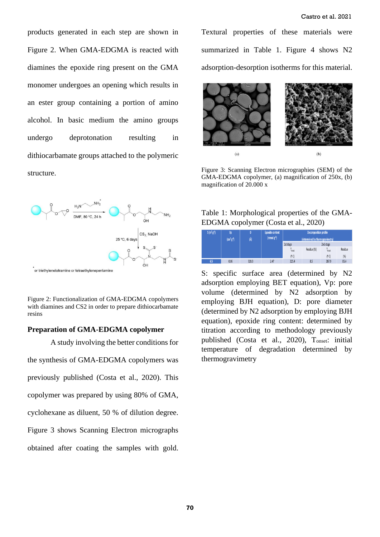products generated in each step are shown in Figure 2. When GMA-EDGMA is reacted with diamines the epoxide ring present on the GMA monomer undergoes an opening which results in an ester group containing a portion of amino alcohol. In basic medium the amino groups undergo deprotonation resulting in dithiocarbamate groups attached to the polymeric structure.



Figure 2: Functionalization of GMA-EDGMA copolymers with diamines and CS2 in order to prepare dithiocarbamate resins

#### **Preparation of GMA-EDGMA copolymer**

A study involving the better conditions for the synthesis of GMA-EDGMA copolymers was previously published (Costa et al., 2020). This copolymer was prepared by using 80% of GMA, cyclohexane as diluent, 50 % of dilution degree. Figure 3 shows Scanning Electron micrographs obtained after coating the samples with gold. Textural properties of these materials were summarized in Table 1. Figure 4 shows N2 adsorption-desorption isotherms for this material.



Figure 3: Scanning Electron micrographies (SEM) of the GMA-EDGMA copolymer, (a) magnification of 250x, (b) magnification of 20.000 x

#### Table 1: Morphological properties of the GMA-EDGMA copolymer (Costa et al., 2020)

| $S(m^2g^1)$ | Vp <sup>1</sup>             | D     | Epoxide content | <b>Decomposition profile</b><br>(determined by thermogravimetry) |             |           |         |
|-------------|-----------------------------|-------|-----------------|------------------------------------------------------------------|-------------|-----------|---------|
|             | $\rm [cm^3\,g^{\text{-}1}]$ | (Å)   | $(mmolg-1)$     |                                                                  |             |           |         |
|             |                             |       |                 | 1st stage                                                        |             | 2nd stage |         |
|             |                             |       |                 | lonset                                                           | Residue (%) | orset     | Residue |
|             |                             |       |                 | 0C                                                               |             | (o C)     | (%)     |
| 6.5         | 0.06                        | 328.3 | 2.47            | 225.4                                                            | 8.5         | 287.9     | 85.4    |

S: specific surface area (determined by N2 adsorption employing BET equation), Vp: pore volume (determined by N2 adsorption by employing BJH equation), D: pore diameter (determined by N2 adsorption by employing BJH equation), epoxide ring content: determined by titration according to methodology previously published (Costa et al., 2020), Tonset: initial temperature of degradation determined by thermogravimetry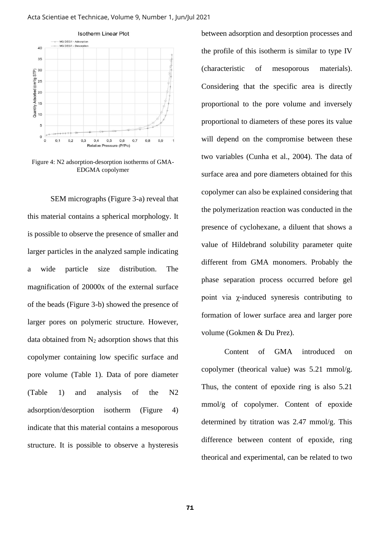#### Acta Scientiae et Technicae, Volume 9, Number 1, Jun/Jul 2021



Figure 4: N2 adsorption-desorption isotherms of GMA-EDGMA copolymer

SEM micrographs (Figure 3-a) reveal that this material contains a spherical morphology. It is possible to observe the presence of smaller and larger particles in the analyzed sample indicating a wide particle size distribution. The magnification of 20000x of the external surface of the beads (Figure 3-b) showed the presence of larger pores on polymeric structure. However, data obtained from  $N_2$  adsorption shows that this copolymer containing low specific surface and pore volume (Table 1). Data of pore diameter (Table 1) and analysis of the N2 adsorption/desorption isotherm (Figure 4) indicate that this material contains a mesoporous structure. It is possible to observe a hysteresis

between adsorption and desorption processes and the profile of this isotherm is similar to type IV (characteristic of mesoporous materials). Considering that the specific area is directly proportional to the pore volume and inversely proportional to diameters of these pores its value will depend on the compromise between these two variables (Cunha et al., 2004). The data of surface area and pore diameters obtained for this copolymer can also be explained considering that the polymerization reaction was conducted in the presence of cyclohexane, a diluent that shows a value of Hildebrand solubility parameter quite different from GMA monomers. Probably the phase separation process occurred before gel point via χ-induced syneresis contributing to formation of lower surface area and larger pore volume (Gokmen & Du Prez).

Content of GMA introduced on copolymer (theorical value) was 5.21 mmol/g. Thus, the content of epoxide ring is also 5.21 mmol/g of copolymer. Content of epoxide determined by titration was 2.47 mmol/g. This difference between content of epoxide, ring theorical and experimental, can be related to two

71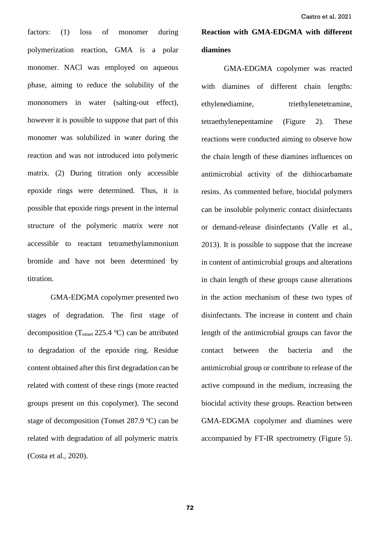factors: (1) loss of monomer during polymerization reaction, GMA is a polar monomer. NACl was employed on aqueous phase, aiming to reduce the solubility of the mononomers in water (salting-out effect), however it is possible to suppose that part of this monomer was solubilized in water during the reaction and was not introduced into polymeric matrix. (2) During titration only accessible epoxide rings were determined. Thus, it is possible that epoxide rings present in the internal structure of the polymeric matrix were not accessible to reactant tetramethylammonium bromide and have not been determined by titration.

GMA-EDGMA copolymer presented two stages of degradation. The first stage of decomposition (Tonset 225.4 ºC) can be attributed to degradation of the epoxide ring. Residue content obtained after this first degradation can be related with content of these rings (more reacted groups present on this copolymer). The second stage of decomposition (Tonset 287.9 ºC) can be related with degradation of all polymeric matrix (Costa et al., 2020).

## **Reaction with GMA-EDGMA with different diamines**

GMA-EDGMA copolymer was reacted with diamines of different chain lengths: ethylenediamine, triethylenetetramine, tetraethylenepentamine (Figure 2). These reactions were conducted aiming to observe how the chain length of these diamines influences on antimicrobial activity of the dithiocarbamate resins. As commented before, biocidal polymers can be insoluble polymeric contact disinfectants or demand-release disinfectants (Valle et al., 2013). It is possible to suppose that the increase in content of antimicrobial groups and alterations in chain length of these groups cause alterations in the action mechanism of these two types of disinfectants. The increase in content and chain length of the antimicrobial groups can favor the contact between the bacteria and the antimicrobial group or contribute to release of the active compound in the medium, increasing the biocidal activity these groups. Reaction between GMA-EDGMA copolymer and diamines were accompanied by FT-IR spectrometry (Figure 5).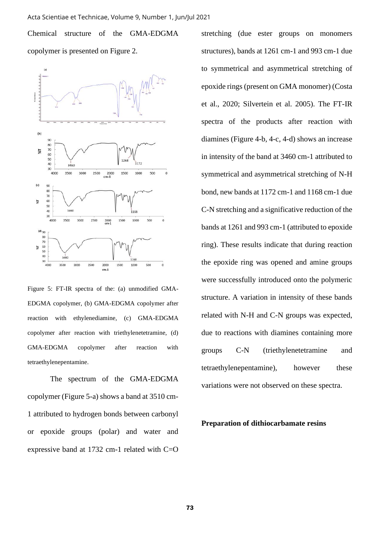Chemical structure of the GMA-EDGMA copolymer is presented on Figure 2.



Figure 5: FT-IR spectra of the: (a) unmodified GMA-EDGMA copolymer, (b) GMA-EDGMA copolymer after reaction with ethylenediamine, (c) GMA-EDGMA copolymer after reaction with triethylenetetramine, (d) GMA-EDGMA copolymer after reaction with tetraethylenepentamine.

The spectrum of the GMA-EDGMA copolymer (Figure 5-a) shows a band at 3510 cm-1 attributed to hydrogen bonds between carbonyl or epoxide groups (polar) and water and expressive band at 1732 cm-1 related with C=O stretching (due ester groups on monomers structures), bands at 1261 cm-1 and 993 cm-1 due to symmetrical and asymmetrical stretching of epoxide rings (present on GMA monomer) (Costa et al., 2020; Silvertein et al. 2005). The FT-IR spectra of the products after reaction with diamines (Figure 4-b, 4-c, 4-d) shows an increase in intensity of the band at 3460 cm-1 attributed to symmetrical and asymmetrical stretching of N-H bond, new bands at 1172 cm-1 and 1168 cm-1 due C-N stretching and a significative reduction of the bands at 1261 and 993 cm-1 (attributed to epoxide ring). These results indicate that during reaction the epoxide ring was opened and amine groups were successfully introduced onto the polymeric structure. A variation in intensity of these bands related with N-H and C-N groups was expected, due to reactions with diamines containing more groups C-N (triethylenetetramine and tetraethylenepentamine), however these variations were not observed on these spectra.

**Preparation of dithiocarbamate resins**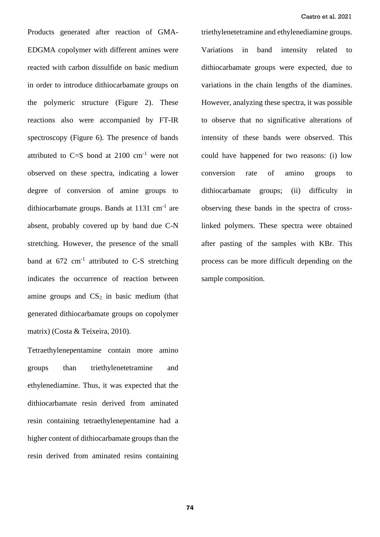Products generated after reaction of GMA-EDGMA copolymer with different amines were reacted with carbon dissulfide on basic medium in order to introduce dithiocarbamate groups on the polymeric structure (Figure 2). These reactions also were accompanied by FT-IR spectroscopy (Figure 6). The presence of bands attributed to  $C=S$  bond at 2100  $cm^{-1}$  were not observed on these spectra, indicating a lower degree of conversion of amine groups to dithiocarbamate groups. Bands at  $1131 \text{ cm}^{-1}$  are absent, probably covered up by band due C-N stretching. However, the presence of the small band at  $672 \text{ cm}^{-1}$  attributed to C-S stretching indicates the occurrence of reaction between amine groups and  $CS<sub>2</sub>$  in basic medium (that generated dithiocarbamate groups on copolymer matrix) (Costa & Teixeira, 2010).

Tetraethylenepentamine contain more amino groups than triethylenetetramine and ethylenediamine. Thus, it was expected that the dithiocarbamate resin derived from aminated resin containing tetraethylenepentamine had a higher content of dithiocarbamate groups than the resin derived from aminated resins containing triethylenetetramine and ethylenediamine groups. Variations in band intensity related to dithiocarbamate groups were expected, due to variations in the chain lengths of the diamines. However, analyzing these spectra, it was possible to observe that no significative alterations of intensity of these bands were observed. This could have happened for two reasons: (i) low conversion rate of amino groups to dithiocarbamate groups; (ii) difficulty in observing these bands in the spectra of crosslinked polymers. These spectra were obtained after pasting of the samples with KBr. This process can be more difficult depending on the sample composition.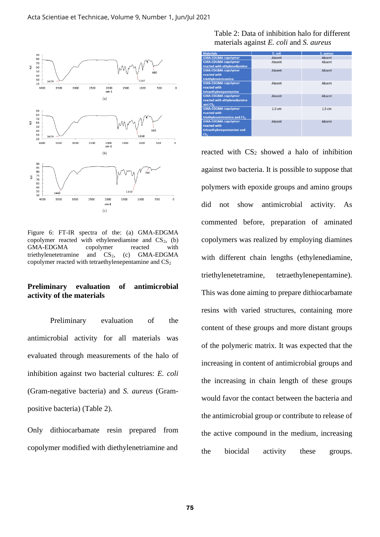

Figure 6: FT-IR spectra of the: (a) GMA-EDGMA copolymer reacted with ethylenediamine and  $CS<sub>2</sub>$ , (b) GMA-EDGMA copolymer reacted with triethylenetetramine and  $CS_2$ , (c) GMA-EDGMA copolymer reacted with tetraethylenepentamine and  $CS_2$ 

#### **Preliminary evaluation of antimicrobial activity of the materials**

Preliminary evaluation of the antimicrobial activity for all materials was evaluated through measurements of the halo of inhibition against two bacterial cultures: *E. coli* (Gram-negative bacteria) and *S. aureus* (Grampositive bacteria) (Table 2).

Only dithiocarbamate resin prepared from copolymer modified with diethylenetriamine and

Table 2: Data of inhibition halo for different materials against *E. coli* and *S. aureus*

| <b>Materials</b>                         | E. coli | S. aureus         |
|------------------------------------------|---------|-------------------|
| <b>GMA-EDGMA copolymer</b>               | Absent  | Absent            |
| <b>GMA-EDGMA copolymer</b>               | Absent  | Absent            |
| reacted with ethylenediamine             |         |                   |
| <b>GMA-EDGMA copolymer</b>               | Absent  | Absent            |
| reacted with                             |         |                   |
| triethylenetetramine                     |         |                   |
| <b>GMA-EDGMA copolymer</b>               | Absent  | Absent            |
| reacted with                             |         |                   |
| tetraethylenepentamine                   |         |                   |
| <b>GMA-EDGMA copolymer</b>               | Absent  | Absent            |
| reacted with ethylenediamine             |         |                   |
| and CS <sub>2</sub>                      |         |                   |
| <b>GMA-EDGMA</b> copolymer               | 1.5 cm  | 1.5 <sub>cm</sub> |
| reacted with                             |         |                   |
| triethylenetetramine and CS <sub>2</sub> |         |                   |
| <b>GMA-EDGMA copolymer</b>               | Absent  | Absent            |
| reacted with                             |         |                   |
| tetraethylenepentamine and               |         |                   |
| CS <sub>2</sub>                          |         |                   |

reacted with  $CS_2$  showed a halo of inhibition against two bacteria. It is possible to suppose that polymers with epoxide groups and amino groups did not show antimicrobial activity. As commented before, preparation of aminated copolymers was realized by employing diamines with different chain lengths (ethylenediamine, triethylenetetramine, tetraethylenepentamine). This was done aiming to prepare dithiocarbamate resins with varied structures, containing more content of these groups and more distant groups of the polymeric matrix. It was expected that the increasing in content of antimicrobial groups and the increasing in chain length of these groups would favor the contact between the bacteria and the antimicrobial group or contribute to release of the active compound in the medium, increasing the biocidal activity these groups.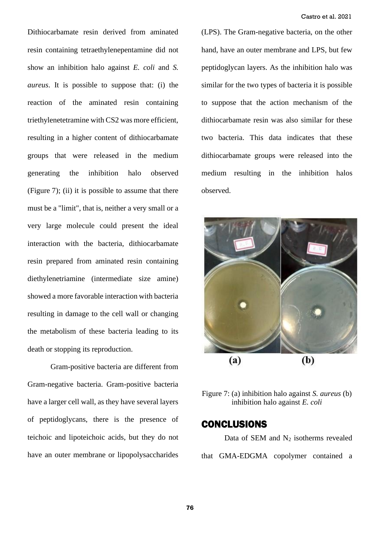Dithiocarbamate resin derived from aminated resin containing tetraethylenepentamine did not show an inhibition halo against *E. coli* and *S. aureus*. It is possible to suppose that: (i) the reaction of the aminated resin containing triethylenetetramine with CS2 was more efficient, resulting in a higher content of dithiocarbamate groups that were released in the medium generating the inhibition halo observed (Figure 7); (ii) it is possible to assume that there must be a "limit", that is, neither a very small or a very large molecule could present the ideal interaction with the bacteria, dithiocarbamate resin prepared from aminated resin containing diethylenetriamine (intermediate size amine) showed a more favorable interaction with bacteria resulting in damage to the cell wall or changing the metabolism of these bacteria leading to its death or stopping its reproduction.

Gram-positive bacteria are different from Gram-negative bacteria. Gram-positive bacteria have a larger cell wall, as they have several layers of peptidoglycans, there is the presence of teichoic and lipoteichoic acids, but they do not have an outer membrane or lipopolysaccharides

(LPS). The Gram-negative bacteria, on the other hand, have an outer membrane and LPS, but few peptidoglycan layers. As the inhibition halo was similar for the two types of bacteria it is possible to suppose that the action mechanism of the dithiocarbamate resin was also similar for these two bacteria. This data indicates that these dithiocarbamate groups were released into the medium resulting in the inhibition halos observed.



Figure 7: (a) inhibition halo against *S. aureus* (b) inhibition halo against *E. coli*

### **CONCLUSIONS**

Data of SEM and N<sup>2</sup> isotherms revealed that GMA-EDGMA copolymer contained a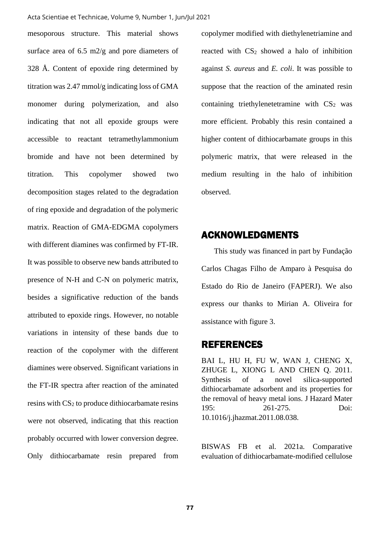mesoporous structure. This material shows surface area of 6.5 m2/g and pore diameters of 328 Å. Content of epoxide ring determined by titration was 2.47 mmol/g indicating loss of GMA monomer during polymerization, and also indicating that not all epoxide groups were accessible to reactant tetramethylammonium bromide and have not been determined by titration. This copolymer showed two decomposition stages related to the degradation of ring epoxide and degradation of the polymeric matrix. Reaction of GMA-EDGMA copolymers with different diamines was confirmed by FT-IR. It was possible to observe new bands attributed to presence of N-H and C-N on polymeric matrix, besides a significative reduction of the bands attributed to epoxide rings. However, no notable variations in intensity of these bands due to reaction of the copolymer with the different diamines were observed. Significant variations in the FT-IR spectra after reaction of the aminated resins with CS<sup>2</sup> to produce dithiocarbamate resins were not observed, indicating that this reaction probably occurred with lower conversion degree. Only dithiocarbamate resin prepared from

copolymer modified with diethylenetriamine and reacted with  $CS_2$  showed a halo of inhibition against *S. aureus* and *E. coli*. It was possible to suppose that the reaction of the aminated resin containing triethylenetetramine with  $CS<sub>2</sub>$  was more efficient. Probably this resin contained a higher content of dithiocarbamate groups in this polymeric matrix, that were released in the medium resulting in the halo of inhibition observed.

## ACKNOWLEDGMENTS

This study was financed in part by Fundação Carlos Chagas Filho de Amparo à Pesquisa do Estado do Rio de Janeiro (FAPERJ). We also express our thanks to Mirian A. Oliveira for assistance with figure 3.

### REFERENCES

BAI L, HU H, FU W, WAN J, CHENG X, ZHUGE L, XIONG L AND CHEN Q. 2011. Synthesis of a novel silica-supported dithiocarbamate adsorbent and its properties for the removal of heavy metal ions. J Hazard Mater 195: 261-275. Doi: 10.1016/j.jhazmat.2011.08.038.

BISWAS FB et al. 2021a. Comparative evaluation of dithiocarbamate-modified cellulose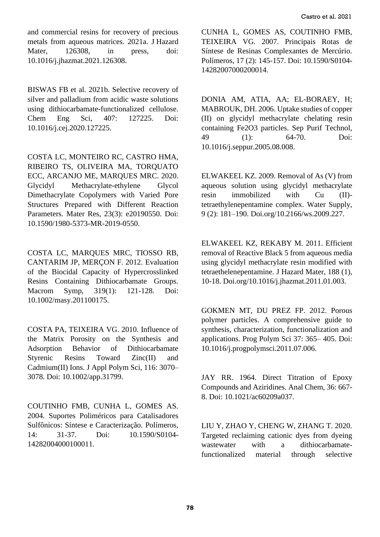and commercial resins for recovery of precious metals from aqueous matrices. 2021a. J Hazard Mater, 126308, in press, doi: 10.1016/j.jhazmat.2021.126308.

BISWAS FB et al. 2021b. Selective recovery of silver and palladium from acidic waste solutions using dithiocarbamate-functionalized cellulose. Chem Eng Sci, 407: 127225. Doi: 10.1016/j.cej.2020.127225.

COSTA LC, MONTEIRO RC, CASTRO HMA, RIBEIRO TS, OLIVEIRA MA, TORQUATO ECC, ARCANJO ME, MARQUES MRC. 2020. Glycidyl Methacrylate-ethylene Glycol Dimethacrylate Copolymers with Varied Pore Structures Prepared with Different Reaction Parameters. Mater Res, 23(3): e20190550. Doi: 10.1590/1980-5373-MR-2019-0550.

COSTA LC, MARQUES MRC, TIOSSO RB, CANTARIM JP, MERÇON F. 2012. Evaluation of the Biocidal Capacity of Hypercrosslinked Resins Containing Dithiocarbamate Groups. Macrom Symp, 319(1): 121-128. Doi: 10.1002/masy.201100175.

COSTA PA, TEIXEIRA VG. 2010. Influence of the Matrix Porosity on the Synthesis and Adsorption Behavior of Dithiocarbamate Styrenic Resins Toward Zinc(II) and Cadmium(II) Ions. J Appl Polym Sci, 116: 3070– 3078. Doi: 10.1002/app.31799.

COUTINHO FMB, CUNHA L, GOMES AS. 2004. Suportes Poliméricos para Catalisadores Sulfônicos: Síntese e Caracterização. Polímeros, 14: 31-37. Doi: 10.1590/S0104- 14282004000100011.

CUNHA L, GOMES AS, COUTINHO FMB, TEIXEIRA VG. 2007. Principais Rotas de Síntese de Resinas Complexantes de Mercúrio. Polímeros, 17 (2): 145-157. Doi: 10.1590/S0104- 14282007000200014.

DONIA AM, ATIA, AA; EL-BORAEY, H; MABROUK, DH. 2006. Uptake studies of copper (II) on glycidyl methacrylate chelating resin containing Fe2O3 particles. Sep Purif Technol, 49 (1): 64-70. Doi: 10.1016/j.seppur.2005.08.008.

ELWAKEEL KZ. 2009. Removal of As (V) from aqueous solution using glycidyl methacrylate resin immobilized with Cu (II) tetraethylenepentamine complex. Water Supply, 9 (2): 181–190. Doi.org/10.2166/ws.2009.227.

ELWAKEEL KZ, REKABY M. 2011. Efficient removal of Reactive Black 5 from aqueous media using glycidyl methacrylate resin modified with tetraethelenepentamine. J Hazard Mater, 188 (1), 10-18. Doi.org/10.1016/j.jhazmat.2011.01.003.

GOKMEN MT, DU PREZ FP. 2012. Porous polymer particles. A comprehensive guide to synthesis, characterization, functionalization and applications. Prog Polym Sci 37: 365– 405. Doi: 10.1016/j.progpolymsci.2011.07.006.

JAY RR. 1964. Direct Titration of Epoxy Compounds and Aziridines. Anal Chem, 36: 667- 8. Doi: 10.1021/ac60209a037.

LIU Y, ZHAO Y, CHENG W, ZHANG T. 2020. Targeted reclaiming cationic dyes from dyeing wastewater with a dithiocarbamatefunctionalized material through selective